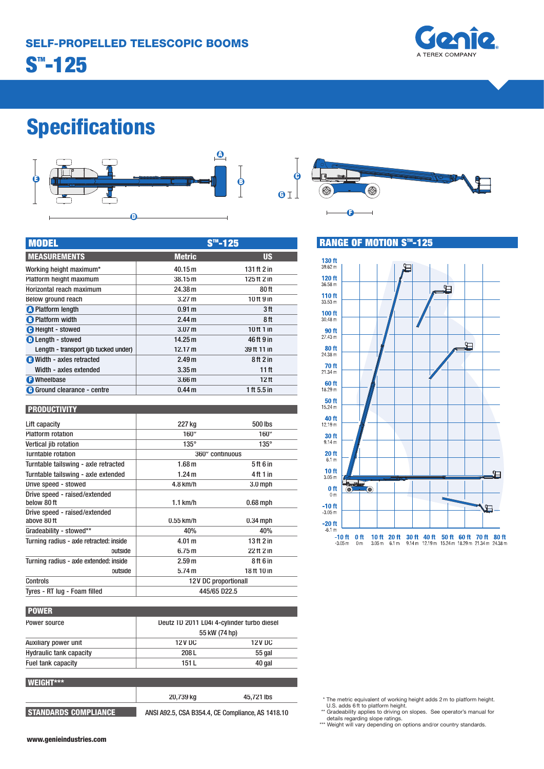

# **Specifications**



| <b>MODEL</b>                          | $S$ ™-125         |                  |  |
|---------------------------------------|-------------------|------------------|--|
| <b>MEASUREMENTS</b>                   | <b>Metric</b>     | <b>US</b>        |  |
| Working height maximum*               | 40.15 m           | 131 ft 2 in      |  |
| Platform height maximum               | 38.15 m           | 125 ft 2 in      |  |
| Horizontal reach maximum              | 24.38 m           | 80 ft            |  |
| Below ground reach                    | 3.27 m            | 10 ft 9 in       |  |
| <b>O</b> Platform length              | 0.91 <sub>m</sub> | 3 ft             |  |
| <b>B</b> Platform width               | 2.44 m            | 8ft              |  |
| <b>O</b> Height - stowed              | 3.07 <sub>m</sub> | 10 ft 1 in       |  |
| <b>O</b> Length - stowed              | 14.25 m           | 46 ft 9 in       |  |
| Length - transport (jib tucked under) | 12.17 m           | 39 ft 11 in      |  |
| Width - axles retracted               | 2.49 <sub>m</sub> | 8ft 2 in         |  |
| Width - axles extended                | 3.35 <sub>m</sub> | 11 ft            |  |
| <b>O</b> Wheelbase                    | 3.66 <sub>m</sub> | 12 <sub>ft</sub> |  |
| <b>G</b> Ground clearance - centre    | 0.44 <sub>m</sub> | 1 ft 5.5 in      |  |

#### **PRODUCTIVITY**

| Lift capacity                                | 227 kg               | 500 lbs     |
|----------------------------------------------|----------------------|-------------|
| <b>Platform rotation</b>                     | $160^\circ$          | $160^\circ$ |
| Vertical jib rotation                        | $135^\circ$          | $135^\circ$ |
| Turntable rotation                           | 360° continuous      |             |
| Turntable tailswing - axle retracted         | 1.68 <sub>m</sub>    | 5 ft 6 in   |
| Turntable tailswing - axle extended          | 1.24 <sub>m</sub>    | 4 ft 1 in   |
| Drive speed - stowed                         | 4.8 km/h             | $3.0$ mph   |
| Drive speed - raised/extended<br>below 80 ft | $1.1$ km/h           | $0.68$ mph  |
| Drive speed - raised/extended<br>above 80 ft | $0.55$ km/h          | $0.34$ mph  |
| Gradeability - stowed**                      | 40%                  | 40%         |
| Turning radius - axle retracted: inside      | 4.01 m               | 13 ft 2 in  |
| outside                                      | 6.75m                | 22 ft 2 in  |
| Turning radius - axle extended: inside       | 2.59 <sub>m</sub>    | 8ft 6 in    |
| outside                                      | 5.74 m               | 18 ft 10 in |
| Controls                                     | 12V DC proportionall |             |
| Tyres - RT lug - Foam filled                 | 445/65 D22.5         |             |

| Power source<br>Auxiliary power unit | Deutz TD 2011 L04i 4-cylinder turbo diesel<br>55 kW (74 hp) |        |
|--------------------------------------|-------------------------------------------------------------|--------|
|                                      |                                                             |        |
|                                      | <b>Hydraulic tank capacity</b>                              | 208 L  |
| Fuel tank capacity                   | 151 L                                                       | 40 gal |

| <b>WEIGHT***</b>            |                                                   |            |
|-----------------------------|---------------------------------------------------|------------|
|                             | 20,739 kg                                         | 45.721 lbs |
| <b>STANDARDS COMPLIANCE</b> | ANSI A92.5, CSA B354.4, CE Compliance, AS 1418.10 |            |



### **RANGE OF MOTION S™-125**



\* The metric equivalent of working height adds 2 m to platform height.

U.S. adds 6 ft to platform height.<br>\*\* Gradeability applies to driving on slopes. See operator's manual for<br>details regarding slope ratings.<br>\*\*\* Weight will vary depending on options and/or country standards.